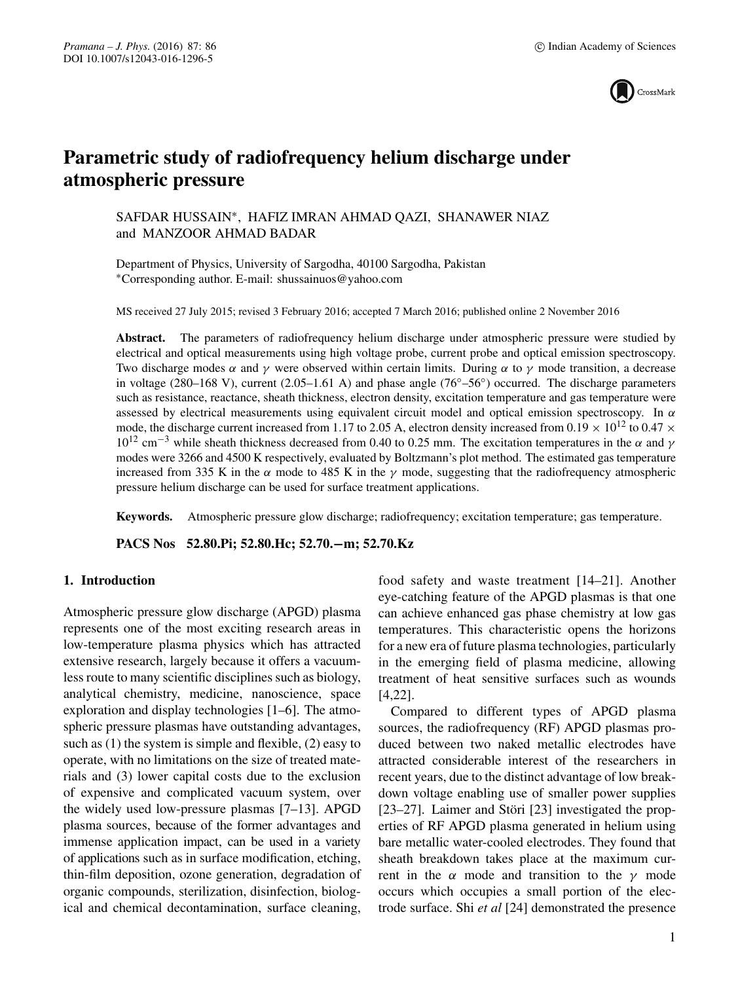

# **Parametric study of radiofrequency helium discharge under atmospheric pressure**

SAFDAR HUSSAIN∗, HAFIZ IMRAN AHMAD QAZI, SHANAWER NIAZ and MANZOOR AHMAD BADAR

Department of Physics, University of Sargodha, 40100 Sargodha, Pakistan ∗Corresponding author. E-mail: shussainuos@yahoo.com

MS received 27 July 2015; revised 3 February 2016; accepted 7 March 2016; published online 2 November 2016

**Abstract.** The parameters of radiofrequency helium discharge under atmospheric pressure were studied by electrical and optical measurements using high voltage probe, current probe and optical emission spectroscopy. Two discharge modes  $\alpha$  and  $\gamma$  were observed within certain limits. During  $\alpha$  to  $\gamma$  mode transition, a decrease in voltage (280–168 V), current (2.05–1.61 A) and phase angle (76°–56°) occurred. The discharge parameters such as resistance, reactance, sheath thickness, electron density, excitation temperature and gas temperature were assessed by electrical measurements using equivalent circuit model and optical emission spectroscopy. In  $\alpha$ mode, the discharge current increased from 1.17 to 2.05 A, electron density increased from 0.19  $\times$  10<sup>12</sup> to 0.47  $\times$  $10^{12}$  cm<sup>-3</sup> while sheath thickness decreased from 0.40 to 0.25 mm. The excitation temperatures in the  $\alpha$  and  $\gamma$ modes were 3266 and 4500 K respectively, evaluated by Boltzmann's plot method. The estimated gas temperature increased from 335 K in the  $\alpha$  mode to 485 K in the  $\gamma$  mode, suggesting that the radiofrequency atmospheric pressure helium discharge can be used for surface treatment applications.

**Keywords.** Atmospheric pressure glow discharge; radiofrequency; excitation temperature; gas temperature.

**PACS Nos 52.80.Pi; 52.80.Hc; 52.70.−m; 52.70.Kz**

# **1. Introduction**

Atmospheric pressure glow discharge (APGD) plasma represents one of the most exciting research areas in low-temperature plasma physics which has attracted extensive research, largely because it offers a vacuumless route to many scientific disciplines such as biology, analytical chemistry, medicine, nanoscience, space exploration and display technologies [1–6]. The atmospheric pressure plasmas have outstanding advantages, such as (1) the system is simple and flexible, (2) easy to operate, with no limitations on the size of treated materials and (3) lower capital costs due to the exclusion of expensive and complicated vacuum system, over the widely used low-pressure plasmas [7–13]. APGD plasma sources, because of the former advantages and immense application impact, can be used in a variety of applications such as in surface modification, etching, thin-film deposition, ozone generation, degradation of organic compounds, sterilization, disinfection, biological and chemical decontamination, surface cleaning, food safety and waste treatment [14–21]. Another eye-catching feature of the APGD plasmas is that one can achieve enhanced gas phase chemistry at low gas temperatures. This characteristic opens the horizons for a new era of future plasma technologies, particularly in the emerging field of plasma medicine, allowing treatment of heat sensitive surfaces such as wounds [4,22].

Compared to different types of APGD plasma sources, the radiofrequency (RF) APGD plasmas produced between two naked metallic electrodes have attracted considerable interest of the researchers in recent years, due to the distinct advantage of low breakdown voltage enabling use of smaller power supplies [23–27]. Laimer and Störi [23] investigated the properties of RF APGD plasma generated in helium using bare metallic water-cooled electrodes. They found that sheath breakdown takes place at the maximum current in the  $\alpha$  mode and transition to the  $\gamma$  mode occurs which occupies a small portion of the electrode surface. Shi *et al* [24] demonstrated the presence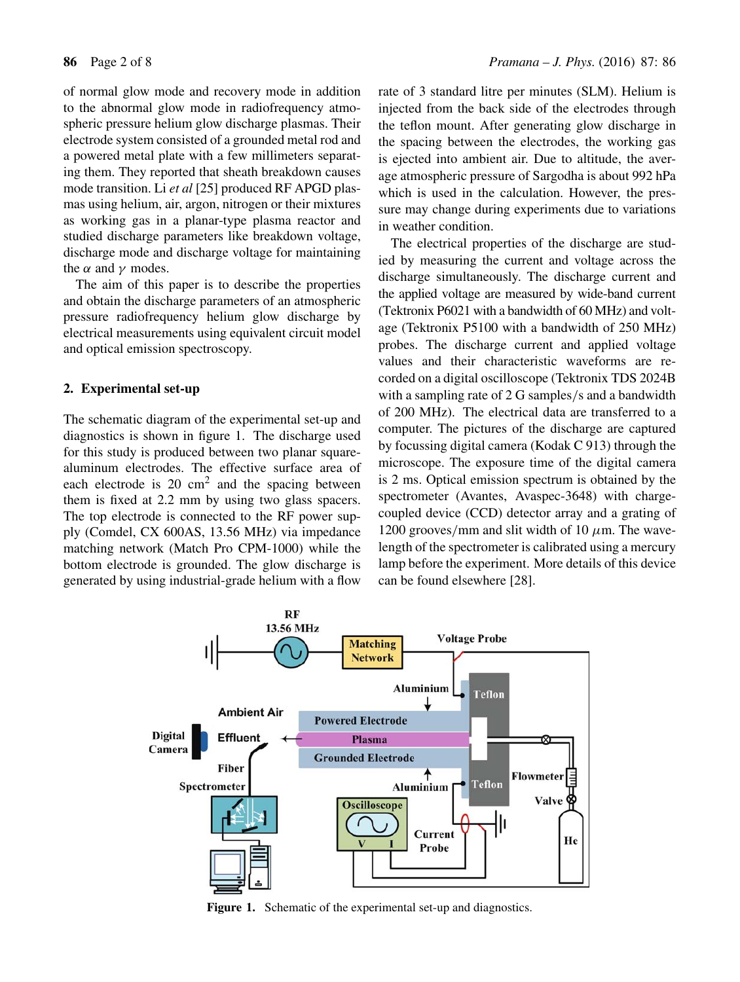of normal glow mode and recovery mode in addition to the abnormal glow mode in radiofrequency atmospheric pressure helium glow discharge plasmas. Their electrode system consisted of a grounded metal rod and a powered metal plate with a few millimeters separating them. They reported that sheath breakdown causes mode transition. Li *et al* [25] produced RF APGD plasmas using helium, air, argon, nitrogen or their mixtures as working gas in a planar-type plasma reactor and studied discharge parameters like breakdown voltage, discharge mode and discharge voltage for maintaining the  $\alpha$  and  $\gamma$  modes.

The aim of this paper is to describe the properties and obtain the discharge parameters of an atmospheric pressure radiofrequency helium glow discharge by electrical measurements using equivalent circuit model and optical emission spectroscopy.

## **2. Experimental set-up**

The schematic diagram of the experimental set-up and diagnostics is shown in figure 1. The discharge used for this study is produced between two planar squarealuminum electrodes. The effective surface area of each electrode is  $20 \text{ cm}^2$  and the spacing between them is fixed at 2.2 mm by using two glass spacers. The top electrode is connected to the RF power supply (Comdel, CX 600AS, 13.56 MHz) via impedance matching network (Match Pro CPM-1000) while the bottom electrode is grounded. The glow discharge is generated by using industrial-grade helium with a flow rate of 3 standard litre per minutes (SLM). Helium is injected from the back side of the electrodes through the teflon mount. After generating glow discharge in the spacing between the electrodes, the working gas is ejected into ambient air. Due to altitude, the average atmospheric pressure of Sargodha is about 992 hPa which is used in the calculation. However, the pressure may change during experiments due to variations in weather condition.

The electrical properties of the discharge are studied by measuring the current and voltage across the discharge simultaneously. The discharge current and the applied voltage are measured by wide-band current (Tektronix P6021 with a bandwidth of 60 MHz) and voltage (Tektronix P5100 with a bandwidth of 250 MHz) probes. The discharge current and applied voltage values and their characteristic waveforms are recorded on a digital oscilloscope (Tektronix TDS 2024B with a sampling rate of 2 G samples/s and a bandwidth of 200 MHz). The electrical data are transferred to a computer. The pictures of the discharge are captured by focussing digital camera (Kodak C 913) through the microscope. The exposure time of the digital camera is 2 ms. Optical emission spectrum is obtained by the spectrometer (Avantes, Avaspec-3648) with chargecoupled device (CCD) detector array and a grating of 1200 grooves/mm and slit width of 10  $\mu$ m. The wavelength of the spectrometer is calibrated using a mercury lamp before the experiment. More details of this device can be found elsewhere [28].



**Figure 1.** Schematic of the experimental set-up and diagnostics.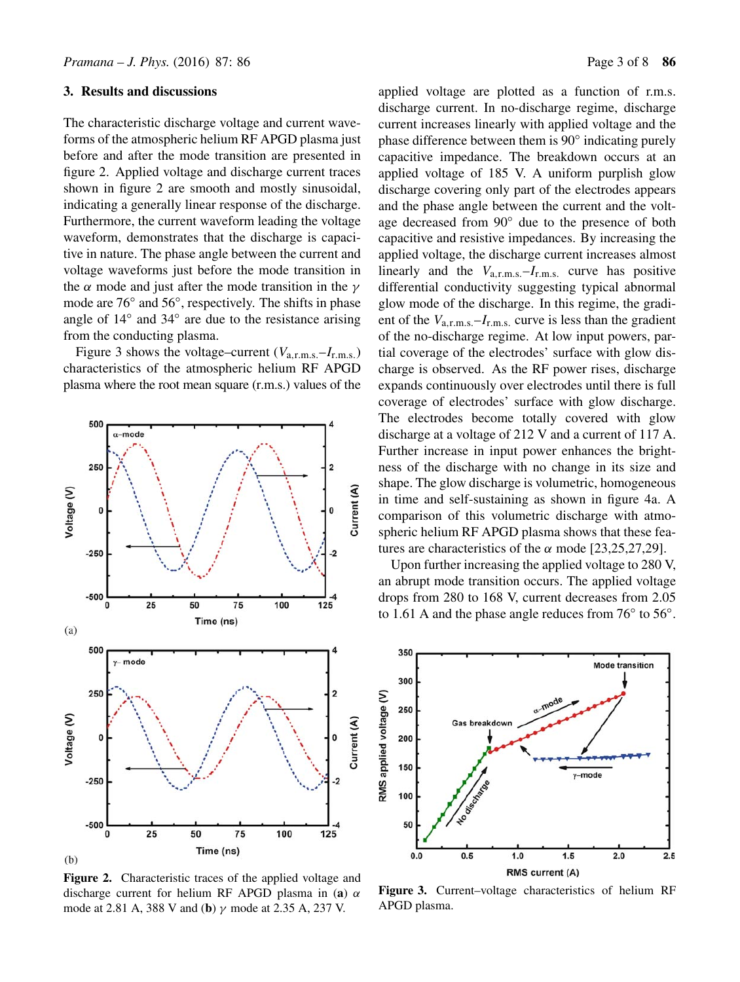#### **3. Results and discussions**

The characteristic discharge voltage and current waveforms of the atmospheric helium RF APGD plasma just before and after the mode transition are presented in figure 2. Applied voltage and discharge current traces shown in figure 2 are smooth and mostly sinusoidal, indicating a generally linear response of the discharge. Furthermore, the current waveform leading the voltage waveform, demonstrates that the discharge is capacitive in nature. The phase angle between the current and voltage waveforms just before the mode transition in the  $\alpha$  mode and just after the mode transition in the  $\gamma$ mode are 76◦ and 56◦, respectively. The shifts in phase angle of 14◦ and 34◦ are due to the resistance arising from the conducting plasma.

Figure 3 shows the voltage–current  $(V_{a,r,m,s} - I_{r,m,s})$ characteristics of the atmospheric helium RF APGD plasma where the root mean square (r.m.s.) values of the



**Figure 2.** Characteristic traces of the applied voltage and discharge current for helium RF APGD plasma in (**a**) α mode at 2.81 A, 388 V and (**b**) γ mode at 2.35 A, 237 V.

applied voltage are plotted as a function of r.m.s. discharge current. In no-discharge regime, discharge current increases linearly with applied voltage and the phase difference between them is 90◦ indicating purely capacitive impedance. The breakdown occurs at an applied voltage of 185 V. A uniform purplish glow discharge covering only part of the electrodes appears and the phase angle between the current and the voltage decreased from 90◦ due to the presence of both capacitive and resistive impedances. By increasing the applied voltage, the discharge current increases almost linearly and the  $V_{a,r,m,s}$ ,  $-I_{r,m,s}$ , curve has positive differential conductivity suggesting typical abnormal glow mode of the discharge. In this regime, the gradient of the  $V_{a,r,m,s}$  –  $I_{r,m,s}$  curve is less than the gradient of the no-discharge regime. At low input powers, partial coverage of the electrodes' surface with glow discharge is observed. As the RF power rises, discharge expands continuously over electrodes until there is full coverage of electrodes' surface with glow discharge. The electrodes become totally covered with glow discharge at a voltage of 212 V and a current of 117 A. Further increase in input power enhances the brightness of the discharge with no change in its size and shape. The glow discharge is volumetric, homogeneous in time and self-sustaining as shown in figure 4a. A comparison of this volumetric discharge with atmospheric helium RF APGD plasma shows that these features are characteristics of the  $\alpha$  mode [23,25,27,29].

Upon further increasing the applied voltage to 280 V, an abrupt mode transition occurs. The applied voltage drops from 280 to 168 V, current decreases from 2.05 to 1.61 A and the phase angle reduces from 76◦ to 56◦.



**Figure 3.** Current–voltage characteristics of helium RF APGD plasma.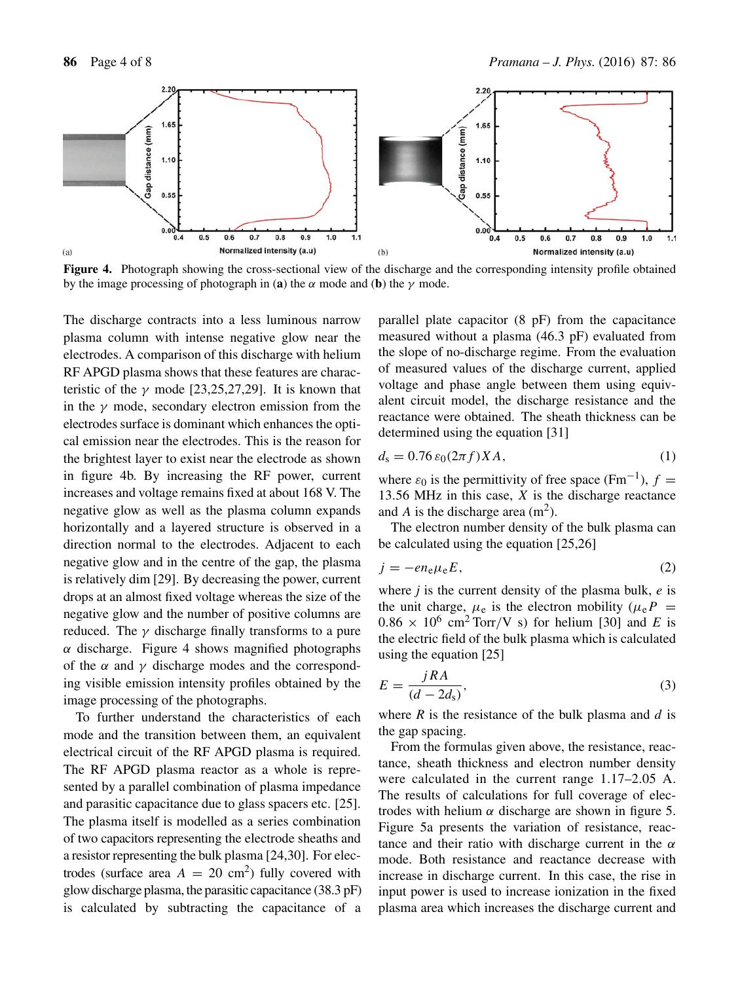

**Figure 4.** Photograph showing the cross-sectional view of the discharge and the corresponding intensity profile obtained by the image processing of photograph in (**a**) the  $\alpha$  mode and (**b**) the  $\gamma$  mode.

The discharge contracts into a less luminous narrow plasma column with intense negative glow near the electrodes. A comparison of this discharge with helium RF APGD plasma shows that these features are characteristic of the  $\gamma$  mode [23,25,27,29]. It is known that in the  $\gamma$  mode, secondary electron emission from the electrodes surface is dominant which enhances the optical emission near the electrodes. This is the reason for the brightest layer to exist near the electrode as shown in figure 4b. By increasing the RF power, current increases and voltage remains fixed at about 168 V. The negative glow as well as the plasma column expands horizontally and a layered structure is observed in a direction normal to the electrodes. Adjacent to each negative glow and in the centre of the gap, the plasma is relatively dim [29]. By decreasing the power, current drops at an almost fixed voltage whereas the size of the negative glow and the number of positive columns are reduced. The  $\gamma$  discharge finally transforms to a pure  $\alpha$  discharge. Figure 4 shows magnified photographs of the  $\alpha$  and  $\gamma$  discharge modes and the corresponding visible emission intensity profiles obtained by the image processing of the photographs.

To further understand the characteristics of each mode and the transition between them, an equivalent electrical circuit of the RF APGD plasma is required. The RF APGD plasma reactor as a whole is represented by a parallel combination of plasma impedance and parasitic capacitance due to glass spacers etc. [25]. The plasma itself is modelled as a series combination of two capacitors representing the electrode sheaths and a resistor representing the bulk plasma [24,30]. For electrodes (surface area  $A = 20$  cm<sup>2</sup>) fully covered with glow discharge plasma, the parasitic capacitance (38.3 pF) is calculated by subtracting the capacitance of a parallel plate capacitor (8 pF) from the capacitance measured without a plasma (46.3 pF) evaluated from the slope of no-discharge regime. From the evaluation of measured values of the discharge current, applied voltage and phase angle between them using equivalent circuit model, the discharge resistance and the reactance were obtained. The sheath thickness can be determined using the equation [31]

$$
d_{\rm s} = 0.76 \,\varepsilon_0 (2\pi f) X A,\tag{1}
$$

where  $\varepsilon_0$  is the permittivity of free space (Fm<sup>-1</sup>),  $f =$ 13.56 MHz in this case,  $X$  is the discharge reactance and A is the discharge area  $(m<sup>2</sup>)$ .

The electron number density of the bulk plasma can be calculated using the equation [25,26]

$$
j = -en_e\mu_e E,\tag{2}
$$

where  $j$  is the current density of the plasma bulk,  $e$  is the unit charge,  $\mu_e$  is the electron mobility ( $\mu_e P$  =  $0.86 \times 10^6$  cm<sup>2</sup> Torr/V s) for helium [30] and *E* is the electric field of the bulk plasma which is calculated using the equation [25]

$$
E = \frac{jRA}{(d - 2d_{\rm s})},\tag{3}
$$

where  $R$  is the resistance of the bulk plasma and  $d$  is the gap spacing.

From the formulas given above, the resistance, reactance, sheath thickness and electron number density were calculated in the current range 1.17–2.05 A. The results of calculations for full coverage of electrodes with helium  $\alpha$  discharge are shown in figure 5. Figure 5a presents the variation of resistance, reactance and their ratio with discharge current in the  $\alpha$ mode. Both resistance and reactance decrease with increase in discharge current. In this case, the rise in input power is used to increase ionization in the fixed plasma area which increases the discharge current and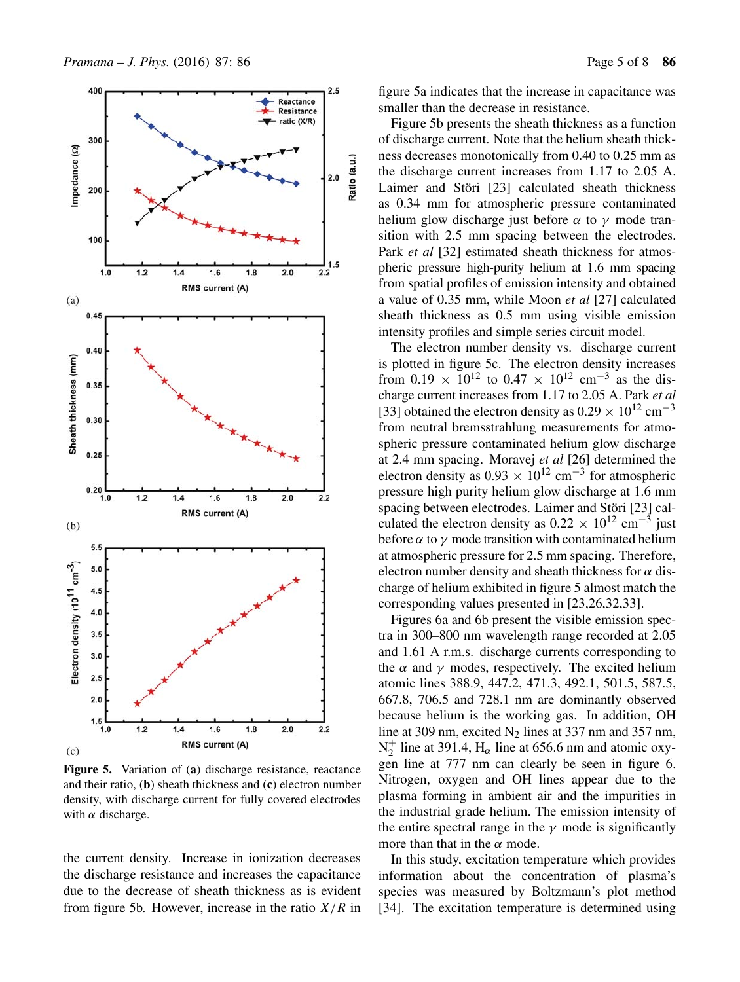

**Figure 5.** Variation of (**a**) discharge resistance, reactance and their ratio, (**b**) sheath thickness and (**c**) electron number density, with discharge current for fully covered electrodes with  $\alpha$  discharge.

the current density. Increase in ionization decreases the discharge resistance and increases the capacitance due to the decrease of sheath thickness as is evident from figure 5b. However, increase in the ratio  $X/R$  in figure 5a indicates that the increase in capacitance was smaller than the decrease in resistance.

Figure 5b presents the sheath thickness as a function of discharge current. Note that the helium sheath thickness decreases monotonically from 0.40 to 0.25 mm as the discharge current increases from 1.17 to 2.05 A. Laimer and Störi [23] calculated sheath thickness as 0.34 mm for atmospheric pressure contaminated helium glow discharge just before  $\alpha$  to  $\gamma$  mode transition with 2.5 mm spacing between the electrodes. Park *et al* [32] estimated sheath thickness for atmospheric pressure high-purity helium at 1.6 mm spacing from spatial profiles of emission intensity and obtained a value of 0.35 mm, while Moon *et al* [27] calculated sheath thickness as 0.5 mm using visible emission intensity profiles and simple series circuit model.

The electron number density vs. discharge current is plotted in figure 5c. The electron density increases from 0.19  $\times$  10<sup>12</sup> to 0.47  $\times$  10<sup>12</sup> cm<sup>-3</sup> as the discharge current increases from 1.17 to 2.05 A. Park *et al* [33] obtained the electron density as  $0.29 \times 10^{12}$  cm<sup>-3</sup> from neutral bremsstrahlung measurements for atmospheric pressure contaminated helium glow discharge at 2.4 mm spacing. Moravej *et al* [26] determined the electron density as  $0.93 \times 10^{12}$  cm<sup>-3</sup> for atmospheric pressure high purity helium glow discharge at 1.6 mm spacing between electrodes. Laimer and Störi [23] calculated the electron density as  $0.22 \times 10^{12}$  cm<sup>-3</sup> just before  $\alpha$  to  $\gamma$  mode transition with contaminated helium at atmospheric pressure for 2.5 mm spacing. Therefore, electron number density and sheath thickness for  $\alpha$  discharge of helium exhibited in figure 5 almost match the corresponding values presented in [23,26,32,33].

Figures 6a and 6b present the visible emission spectra in 300–800 nm wavelength range recorded at 2.05 and 1.61 A r.m.s. discharge currents corresponding to the  $\alpha$  and  $\gamma$  modes, respectively. The excited helium atomic lines 388.9, 447.2, 471.3, 492.1, 501.5, 587.5, 667.8, 706.5 and 728.1 nm are dominantly observed because helium is the working gas. In addition, OH line at 309 nm, excited  $N_2$  lines at 337 nm and 357 nm,  $N_2^+$  line at 391.4,  $H_\alpha$  line at 656.6 nm and atomic oxygen line at 777 nm can clearly be seen in figure 6. Nitrogen, oxygen and OH lines appear due to the plasma forming in ambient air and the impurities in the industrial grade helium. The emission intensity of the entire spectral range in the  $\gamma$  mode is significantly more than that in the  $\alpha$  mode.

In this study, excitation temperature which provides information about the concentration of plasma's species was measured by Boltzmann's plot method [34]. The excitation temperature is determined using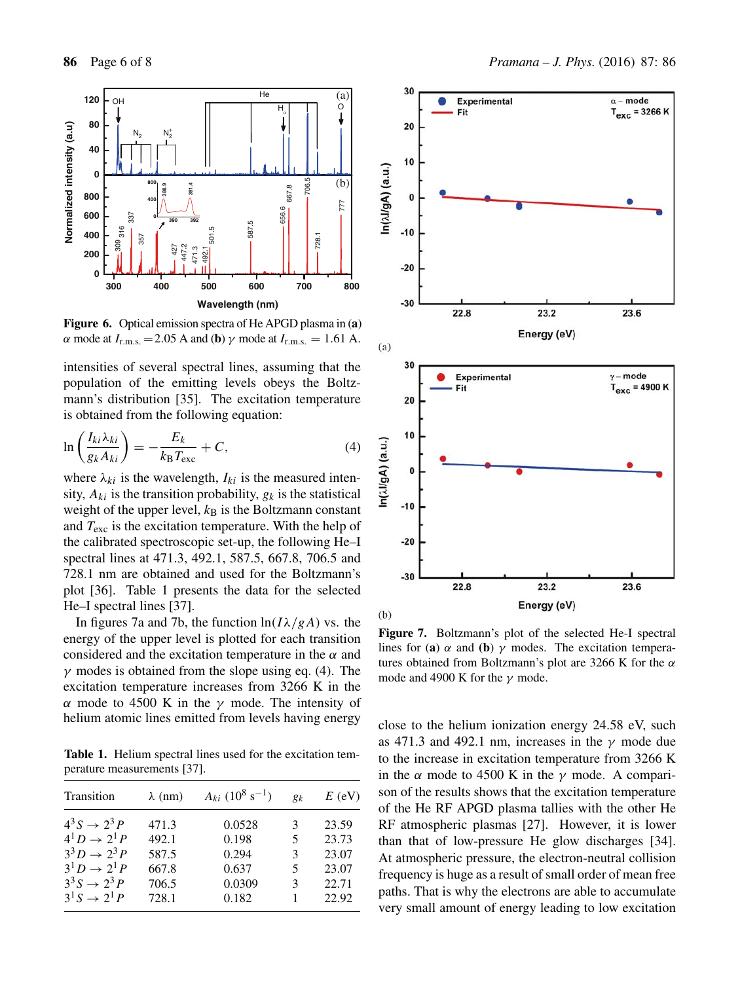

**Figure 6.** Optical emission spectra of He APGD plasma in (**a**) α mode at  $I_{r.m.s.}$  = 2.05 A and (**b**)  $\gamma$  mode at  $I_{r.m.s.}$  = 1.61 A.

intensities of several spectral lines, assuming that the population of the emitting levels obeys the Boltzmann's distribution [35]. The excitation temperature is obtained from the following equation:

$$
\ln\left(\frac{I_{ki}\lambda_{ki}}{g_kA_{ki}}\right) = -\frac{E_k}{k_B T_{\text{exc}}} + C,\tag{4}
$$

where  $\lambda_{ki}$  is the wavelength,  $I_{ki}$  is the measured intensity,  $A_{ki}$  is the transition probability,  $g_k$  is the statistical weight of the upper level,  $k_B$  is the Boltzmann constant and  $T_{\rm exc}$  is the excitation temperature. With the help of the calibrated spectroscopic set-up, the following He–I spectral lines at 471.3, 492.1, 587.5, 667.8, 706.5 and 728.1 nm are obtained and used for the Boltzmann's plot [36]. Table 1 presents the data for the selected He–I spectral lines [37].

In figures 7a and 7b, the function  $ln(I\lambda/gA)$  vs. the energy of the upper level is plotted for each transition considered and the excitation temperature in the  $\alpha$  and  $\gamma$  modes is obtained from the slope using eq. (4). The excitation temperature increases from 3266 K in the α mode to 4500 K in the  $γ$  mode. The intensity of helium atomic lines emitted from levels having energy

**Table 1.** Helium spectral lines used for the excitation temperature measurements [37].

| Transition              | $\lambda$ (nm) | $A_{ki}$ (10 <sup>8</sup> s <sup>-1</sup> ) | $g_k$ | $E$ (eV) |
|-------------------------|----------------|---------------------------------------------|-------|----------|
| $4^3S \rightarrow 2^3P$ | 471.3          | 0.0528                                      | 3     | 23.59    |
| $4^1D \rightarrow 2^1P$ | 492.1          | 0.198                                       | 5     | 23.73    |
| $3^3D \rightarrow 2^3P$ | 587.5          | 0.294                                       | 3     | 23.07    |
| $3^{1}D \to 2^{1}P$     | 667.8          | 0.637                                       | 5     | 23.07    |
| $3^3S \rightarrow 2^3P$ | 706.5          | 0.0309                                      | 3     | 22.71    |
| $3^1S \to 2^1P$         | 728.1          | 0.182                                       |       | 22.92    |



**Figure 7.** Boltzmann's plot of the selected He-I spectral lines for (**a**)  $\alpha$  and (**b**)  $\gamma$  modes. The excitation temperatures obtained from Boltzmann's plot are 3266 K for the  $\alpha$ mode and 4900 K for the  $\gamma$  mode.

close to the helium ionization energy 24.58 eV, such as 471.3 and 492.1 nm, increases in the  $\gamma$  mode due to the increase in excitation temperature from 3266 K in the  $\alpha$  mode to 4500 K in the  $\gamma$  mode. A comparison of the results shows that the excitation temperature of the He RF APGD plasma tallies with the other He RF atmospheric plasmas [27]. However, it is lower than that of low-pressure He glow discharges [34]. At atmospheric pressure, the electron-neutral collision frequency is huge as a result of small order of mean free paths. That is why the electrons are able to accumulate very small amount of energy leading to low excitation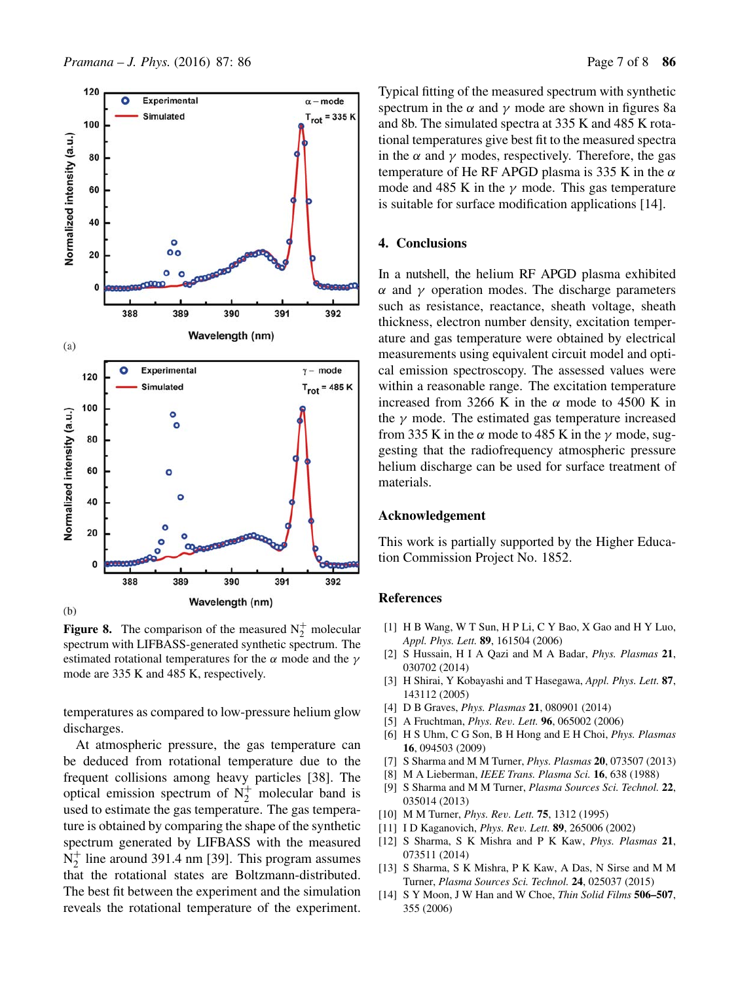

**Figure 8.** The comparison of the measured  $N_2^+$  molecular spectrum with LIFBASS-generated synthetic spectrum. The estimated rotational temperatures for the  $\alpha$  mode and the  $\gamma$ mode are 335 K and 485 K, respectively.

temperatures as compared to low-pressure helium glow discharges.

At atmospheric pressure, the gas temperature can be deduced from rotational temperature due to the frequent collisions among heavy particles [38]. The optical emission spectrum of  $N_2^+$  molecular band is used to estimate the gas temperature. The gas temperature is obtained by comparing the shape of the synthetic spectrum generated by LIFBASS with the measured  $N_2^+$  line around 391.4 nm [39]. This program assumes that the rotational states are Boltzmann-distributed. The best fit between the experiment and the simulation reveals the rotational temperature of the experiment. Typical fitting of the measured spectrum with synthetic spectrum in the  $\alpha$  and  $\gamma$  mode are shown in figures 8a and 8b. The simulated spectra at 335 K and 485 K rotational temperatures give best fit to the measured spectra in the  $\alpha$  and  $\gamma$  modes, respectively. Therefore, the gas temperature of He RF APGD plasma is 335 K in the  $\alpha$ mode and 485 K in the  $\gamma$  mode. This gas temperature is suitable for surface modification applications [14].

# **4. Conclusions**

In a nutshell, the helium RF APGD plasma exhibited α and γ operation modes. The discharge parameters such as resistance, reactance, sheath voltage, sheath thickness, electron number density, excitation temperature and gas temperature were obtained by electrical measurements using equivalent circuit model and optical emission spectroscopy. The assessed values were within a reasonable range. The excitation temperature increased from 3266 K in the  $\alpha$  mode to 4500 K in the  $\gamma$  mode. The estimated gas temperature increased from 335 K in the  $\alpha$  mode to 485 K in the  $\gamma$  mode, suggesting that the radiofrequency atmospheric pressure helium discharge can be used for surface treatment of materials.

## **Acknowledgement**

This work is partially supported by the Higher Education Commission Project No. 1852.

#### **References**

- [1] H B Wang, W T Sun, H P Li, C Y Bao, X Gao and H Y Luo, *Appl. Phys. Lett.* **89**, 161504 (2006)
- [2] S Hussain, H I A Qazi and M A Badar, *Phys. Plasmas* **21**, 030702 (2014)
- [3] H Shirai, Y Kobayashi and T Hasegawa, *Appl. Phys. Lett.* **87**, 143112 (2005)
- [4] D B Graves, *Phys. Plasmas* **21**, 080901 (2014)
- [5] A Fruchtman, *Phys. Re*v*. Lett.* **96**, 065002 (2006)
- [6] H S Uhm, C G Son, B H Hong and E H Choi, *Phys. Plasmas* **16**, 094503 (2009)
- [7] S Sharma and M M Turner, *Phys. Plasmas* **20**, 073507 (2013)
- [8] M A Lieberman, *IEEE Trans. Plasma Sci.* **16**, 638 (1988)
- [9] S Sharma and M M Turner, *Plasma Sources Sci. Technol.* **22**, 035014 (2013)
- [10] M M Turner, *Phys. Re*v*. Lett.* **75**, 1312 (1995)
- [11] I D Kaganovich, *Phys. Re*v*. Lett.* **89**, 265006 (2002)
- [12] S Sharma, S K Mishra and P K Kaw, *Phys. Plasmas* **21**, 073511 (2014)
- [13] S Sharma, S K Mishra, P K Kaw, A Das, N Sirse and M M Turner, *Plasma Sources Sci. Technol.* **24**, 025037 (2015)
- [14] S Y Moon, J W Han and W Choe, *Thin Solid Films* **506–507**, 355 (2006)